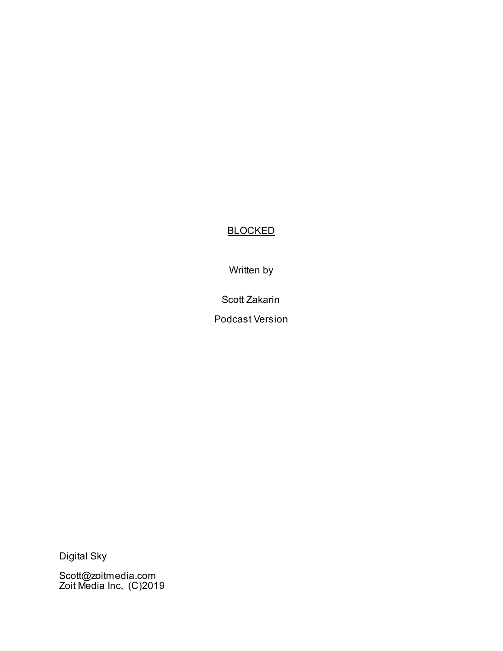# **BLOCKED**

Written by

Scott Zakarin

Podcast Version

Digital Sky

Scott@zoitmedia.com Zoit Media Inc, (C)2019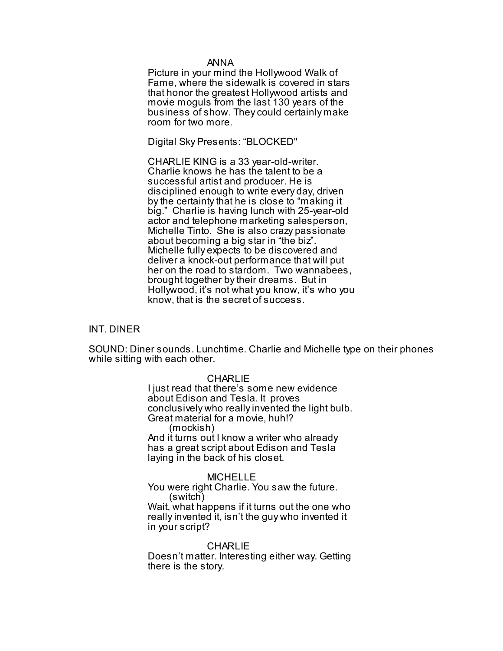#### ANNA

Picture in your mind the Hollywood Walk of Fame, where the sidewalk is covered in stars that honor the greatest Hollywood artists and movie moguls from the last 130 years of the business of show. They could certainly make room for two more.

Digital Sky Presents: "BLOCKED"

CHARLIE KING is a 33 year-old-writer. Charlie knows he has the talent to be a successful artist and producer. He is disciplined enough to write every day, driven by the certainty that he is close to "making it big." Charlie is having lunch with 25-year-old actor and telephone marketing salesperson, Michelle Tinto. She is also crazy passionate about becoming a big star in "the biz". Michelle fully expects to be discovered and deliver a knock-out performance that will put her on the road to stardom. Two wannabees, brought together by their dreams. But in Hollywood, it's not what you know, it's who you know, that is the secret of success.

### INT. DINER

SOUND: Diner sounds. Lunchtime. Charlie and Michelle type on their phones while sitting with each other.

### **CHARLIE**

I just read that there's some new evidence about Edison and Tesla. It proves conclusively who really invented the light bulb. Great material for a movie, huh!? (mockish) And it turns out I know a writer who already has a great script about Edison and Tesla

### MICHELLE

laying in the back of his closet.

You were right Charlie. You saw the future. (switch) Wait, what happens if it turns out the one who really invented it, isn't the guy who invented it in your script?

**CHARLIE** Doesn't matter. Interesting either way. Getting there is the story.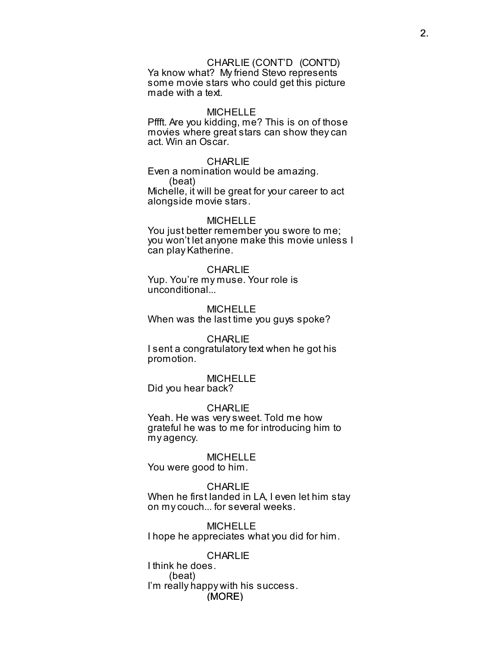### CHARLIE (CONT'D (CONT'D)

Ya know what? My friend Stevo represents some movie stars who could get this picture made with a text.

### MICHELLE

Pffft. Are you kidding, me? This is on of those movies where great stars can show they can act. Win an Oscar.

#### **CHARLIE**

Even a nomination would be amazing. (beat)

Michelle, it will be great for your career to act alongside movie stars.

#### MICHELLE

You just better remember you swore to me; you won't let anyone make this movie unless I can play Katherine.

#### CHARLIE

Yup. You're my muse. Your role is unconditional...

MICHELLE When was the last time you guys spoke?

### **CHARLIE**

I sent a congratulatory text when he got his promotion.

#### MICHELLE Did you hear back?

### **CHARLIE**

Yeah. He was very sweet. Told me how grateful he was to me for introducing him to my agency.

#### MICHELLE You were good to him.

#### CHARL IF

When he first landed in LA, I even let him stay on my couch... for several weeks.

MICHELLE I hope he appreciates what you did for him.

(MORE) **CHARLIE** I think he does. (beat) I'm really happy with his success.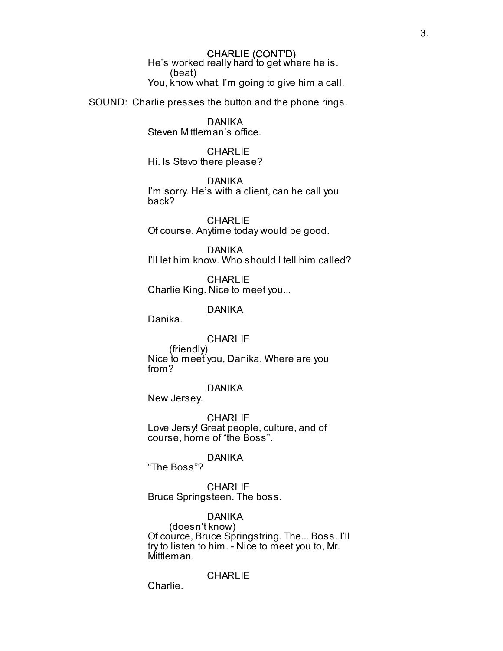### CHARLIE (CONT'D)

He's worked really hard to get where he is. (beat) You, know what, I'm going to give him a call.

SOUND: Charlie presses the button and the phone rings.

DANIKA Steven Mittleman's office.

**CHARLIE** Hi. Is Stevo there please?

DANIKA I'm sorry. He's with a client, can he call you back?

**CHARLIE** Of course. Anytime today would be good.

DANIKA I'll let him know. Who should I tell him called?

**CHARLIE** Charlie King. Nice to meet you...

DANIKA

Danika.

**CHARLIE** 

(friendly) Nice to meet you, Danika. Where are you from?

DANIKA

New Jersey.

CHARLIE Love Jersy! Great people, culture, and of course, home of "the Boss".

DANIKA

"The Boss"?

**CHARLIE** Bruce Springsteen. The boss.

DANIKA

(doesn't know) Of cource, Bruce Springstring. The... Boss. I'll try to listen to him. - Nice to meet you to, Mr. Mittleman.

**CHARLIE** 

Charlie.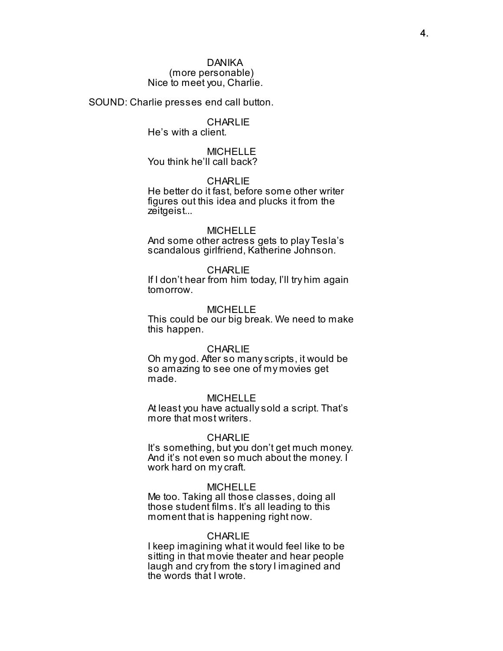(more personable) Nice to meet you, Charlie.

SOUND: Charlie presses end call button.

### **CHARLIE** He's with a client.

MICHELLE You think he'll call back?

### **CHARLIE**

He better do it fast, before some other writer figures out this idea and plucks it from the zeitgeist...

### **MICHELLE**

And some other actress gets to play Tesla's scandalous girlfriend, Katherine Johnson.

### CHARLIE

If I don't hear from him today, I'll try him again tomorrow.

### MICHELLE

This could be our big break. We need to make this happen.

### **CHARLIE**

Oh my god. After so many scripts, it would be so amazing to see one of my movies get made.

### MICHELLE

At least you have actually sold a script. That's more that most writers.

### **CHARLIE**

It's something, but you don't get much money. And it's not even so much about the money. I work hard on my craft.

#### MICHELLE

Me too. Taking all those classes, doing all those student films. It's all leading to this moment that is happening right now.

### **CHARLIE**

I keep imagining what it would feel like to be sitting in that movie theater and hear people laugh and cry from the story I imagined and the words that I wrote.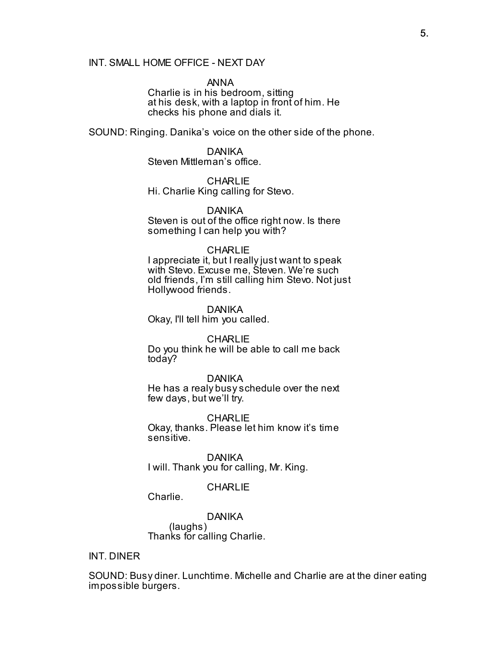### INT. SMALL HOME OFFICE - NEXT DAY

ANNA Charlie is in his bedroom, sitting at his desk, with a laptop in front of him. He checks his phone and dials it.

SOUND: Ringing. Danika's voice on the other side of the phone.

# DANIKA

Steven Mittleman's office.

# **CHARLIE**

Hi. Charlie King calling for Stevo.

### DANIKA

Steven is out of the office right now. Is there something I can help you with?

### **CHARLIE**

I appreciate it, but I really just want to speak with Stevo. Excuse me, Steven. We're such old friends, I'm still calling him Stevo. Not just Hollywood friends.

### DANIKA

Okay, I'll tell him you called.

### **CHARLIE**

Do you think he will be able to call me back today?

### DANIKA

He has a realy busy schedule over the next few days, but we'll try.

### **CHARLIE**

Okay, thanks. Please let him know it's time sensitive.

DANIKA I will. Thank you for calling, Mr. King.

### **CHARLIE**

Charlie.

DANIKA (laughs) Thanks for calling Charlie.

### INT. DINER

SOUND: Busy diner. Lunchtime. Michelle and Charlie are at the diner eating impossible burgers.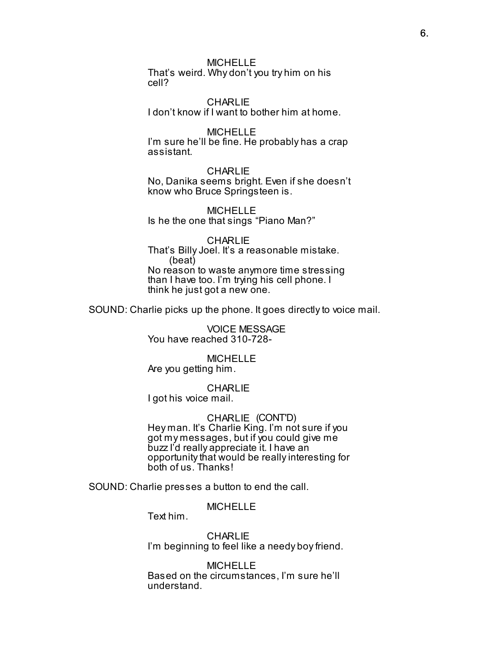### **MICHELLE**

That's weird. Why don't you try him on his cell?

**CHARLIE** I don't know if I want to bother him at home.

#### **MICHELLE** I'm sure he'll be fine. He probably has a crap assistant.

**CHARLIE** No, Danika seems bright. Even if she doesn't know who Bruce Springsteen is.

MICHELLE Is he the one that sings "Piano Man?"

### CHARLIE That's Billy Joel. It's a reasonable mistake. (beat) No reason to waste anymore time stressing than I have too. I'm trying his cell phone. I think he just got a new one.

SOUND: Charlie picks up the phone. It goes directly to voice mail.

VOICE MESSAGE You have reached 310-728-

### **MICHELLE** Are you getting him.

**CHARLIE** I got his voice mail.

### CHARLIE (CONT'D)

Hey man. It's Charlie King. I'm not sure if you got my messages, but if you could give me buzz I'd really appreciate it. I have an opportunity that would be really interesting for both of us. Thanks!

SOUND: Charlie presses a button to end the call.

### **MICHELLE**

Text him.

**CHARLIE** I'm beginning to feel like a needy boy friend.

# MICHELLE

Based on the circumstances, I'm sure he'll understand.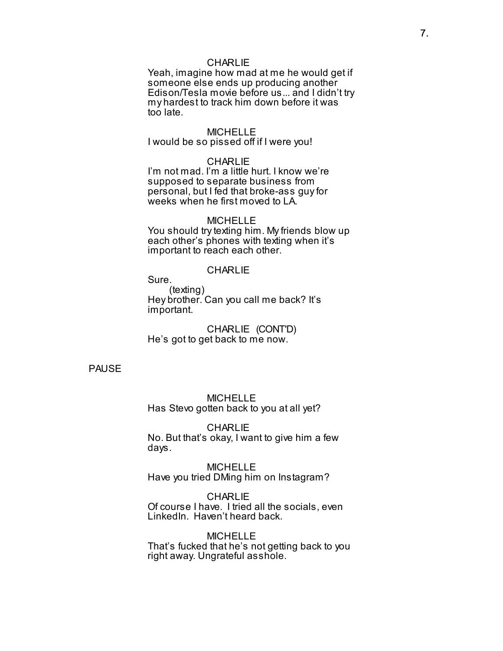### **CHARLIE**

Yeah, imagine how mad at me he would get if someone else ends up producing another Edison/Tesla movie before us... and I didn't try my hardest to track him down before it was too late.

### MICHELLE

### I would be so pissed off if I were you!

#### **CHARLIE**

I'm not mad. I'm a little hurt. I know we're supposed to separate business from personal, but I fed that broke-ass guy for weeks when he first moved to LA.

#### MICHELLE

You should try texting him. My friends blow up each other's phones with texting when it's important to reach each other.

#### **CHARLIE**

Sure.

(texting) Hey brother. Can you call me back? It's important.

CHARLIE (CONT'D) He's got to get back to me now.

### PAUSE

MICHELLE Has Stevo gotten back to you at all yet?

**CHARLIE** No. But that's okay, I want to give him a few days.

MICHELLE Have you tried DMing him on Instagram?

### **CHARLIE**

Of course I have. I tried all the socials, even LinkedIn. Haven't heard back.

#### **MICHELLE**

That's fucked that he's not getting back to you right away. Ungrateful asshole.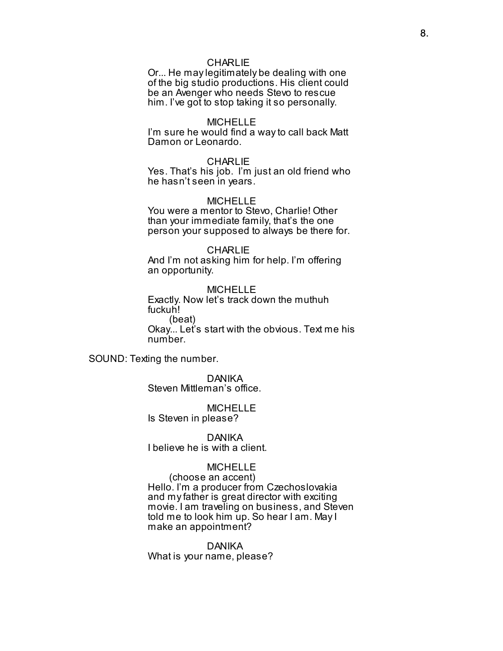### **CHARLIE**

Or... He may legitimately be dealing with one of the big studio productions. His client could be an Avenger who needs Stevo to rescue him. I've got to stop taking it so personally.

#### MICHELLE

I'm sure he would find a way to call back Matt Damon or Leonardo.

#### **CHARLIE**

Yes. That's his job. I'm just an old friend who he hasn't seen in years.

#### MICHELLE

You were a mentor to Stevo, Charlie! Other than your immediate family, that's the one person your supposed to always be there for.

#### **CHARLIE**

And I'm not asking him for help. I'm offering an opportunity.

MICHELLE Exactly. Now let's track down the muthuh fuckuh! (beat) Okay... Let's start with the obvious. Text me his number.

SOUND: Texting the number.

DANIKA Steven Mittleman's office.

MICHELLE Is Steven in please?

DANIKA I believe he is with a client.

### MICHELLE

(choose an accent) Hello. I'm a producer from Czechoslovakia and my father is great director with exciting movie. I am traveling on business, and Steven told me to look him up. So hear I am. May I make an appointment?

DANIKA What is your name, please?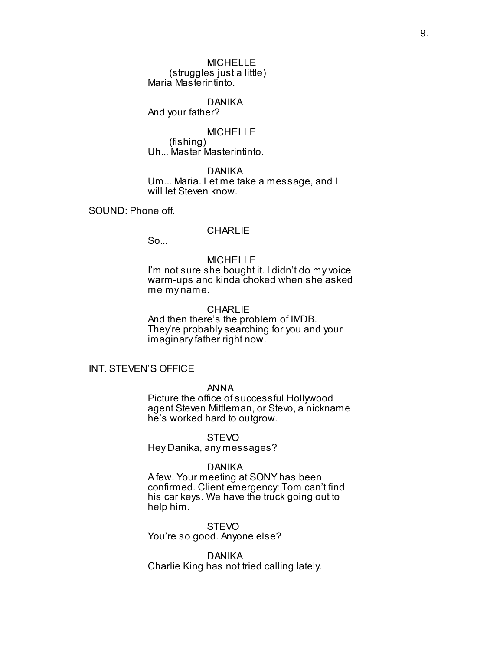MICHELLE (struggles just a little) Maria Masterintinto.

### DANIKA

And your father?

MICHELLE

(fishing) Uh... Master Masterintinto.

DANIKA Um... Maria. Let me take a message, and I will let Steven know.

SOUND: Phone off.

### **CHARLIE**

So...

### MICHELLE

I'm not sure she bought it. I didn't do my voice warm-ups and kinda choked when she asked me my name.

#### **CHARLIE**

And then there's the problem of IMDB. They're probably searching for you and your imaginary father right now.

### INT. STEVEN'S OFFICE

### ANNA

Picture the office of successful Hollywood agent Steven Mittleman, or Stevo, a nickname he's worked hard to outgrow.

#### STEVO

Hey Danika, any messages?

### DANIKA

A few. Your meeting at SONY has been confirmed. Client emergency: Tom can't find his car keys. We have the truck going out to help him.

### **STEVO**

You're so good. Anyone else?

#### DANIKA

Charlie King has not tried calling lately.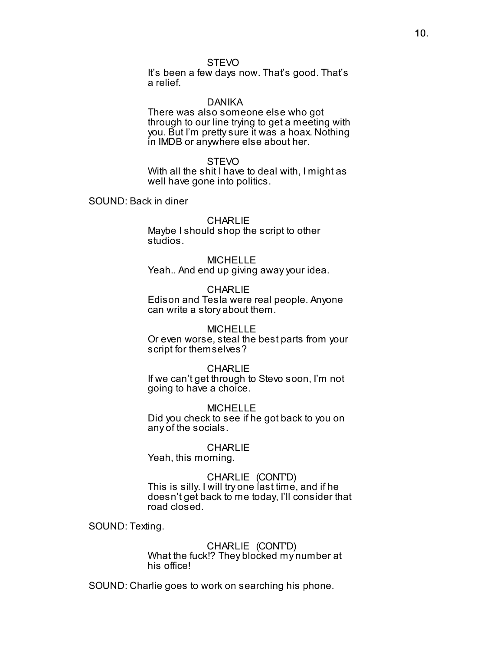### **STEVO**

It's been a few days now. That's good. That's a relief.

#### DANIKA

There was also someone else who got through to our line trying to get a meeting with you. But I'm pretty sure it was a hoax. Nothing in IMDB or anywhere else about her.

#### STEVO

With all the shit I have to deal with, I might as well have gone into politics.

SOUND: Back in diner

#### **CHARLIE**

Maybe I should shop the script to other studios.

### MICHELLE Yeah.. And end up giving away your idea.

**CHARLIE** Edison and Tesla were real people. Anyone can write a story about them.

#### MICHELLE

Or even worse, steal the best parts from your script for themselves?

### **CHARLIE**

If we can't get through to Stevo soon, I'm not going to have a choice.

#### MICHELLE

Did you check to see if he got back to you on any of the socials.

## **CHARLIE**

Yeah, this morning.

### CHARLIE (CONT'D) This is silly. I will try one last time, and if he doesn't get back to me today, I'll consider that road closed.

SOUND: Texting.

### CHARLIE (CONT'D) What the fuck!? They blocked my number at his office!

SOUND: Charlie goes to work on searching his phone.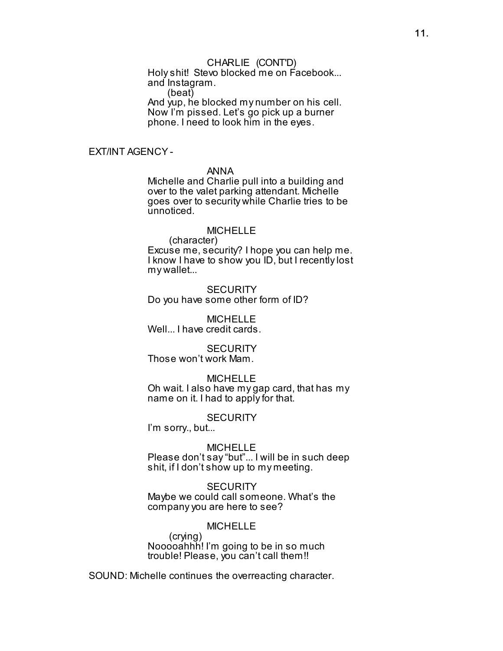### CHARLIE (CONT'D)

Holy shit! Stevo blocked me on Facebook... and Instagram.

(beat)

And yup, he blocked my number on his cell. Now I'm pissed. Let's go pick up a burner phone. I need to look him in the eyes.

### EXT/INT AGENCY -

### ANNA

Michelle and Charlie pull into a building and over to the valet parking attendant. Michelle goes over to security while Charlie tries to be unnoticed.

### MICHELLE

(character)

Excuse me, security? I hope you can help me. I know I have to show you ID, but I recently lost my wallet...

**SECURITY** Do you have some other form of ID?

MICHELLE Well... I have credit cards.

### **SECURITY**

Those won't work Mam.

#### MICHELLE

Oh wait. I also have my gap card, that has my name on it. I had to apply for that.

#### **SECURITY**

I'm sorry., but...

#### MICHELLE

Please don't say "but"... I will be in such deep shit, if I don't show up to my meeting.

#### **SECURITY**

Maybe we could call someone. What's the company you are here to see?

### MICHELLE

(crying) Nooooahhh! I'm going to be in so much trouble! Please, you can't call them!!

SOUND: Michelle continues the overreacting character.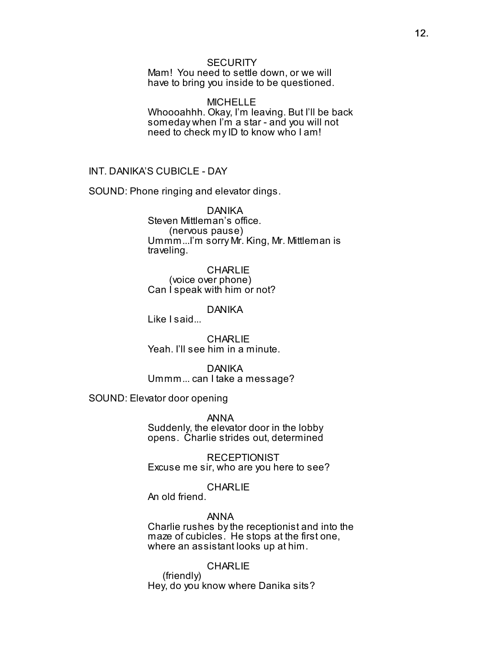### **SECURITY**

Mam! You need to settle down, or we will have to bring you inside to be questioned.

MICHELLE Whoooahhh. Okay, I'm leaving. But I'll be back someday when I'm a star - and you will not need to check my ID to know who I am!

INT. DANIKA'S CUBICLE - DAY

SOUND: Phone ringing and elevator dings.

DANIKA Steven Mittleman's office. (nervous pause) Ummm...I'm sorry Mr. King, Mr. Mittleman is traveling.

**CHARLIE** (voice over phone) Can I speak with him or not?

DANIKA

Like I said...

**CHARLIE** Yeah. I'll see him in a minute.

DANIKA Ummm... can I take a message?

SOUND: Elevator door opening

ANNA Suddenly, the elevator door in the lobby opens. Charlie strides out, determined

**RECEPTIONIST** Excuse me sir, who are you here to see?

#### **CHARLIE**

An old friend.

ANNA

Charlie rushes by the receptionist and into the maze of cubicles. He stops at the first one, where an assistant looks up at him.

### **CHARLIE**

 (friendly) Hey, do you know where Danika sits?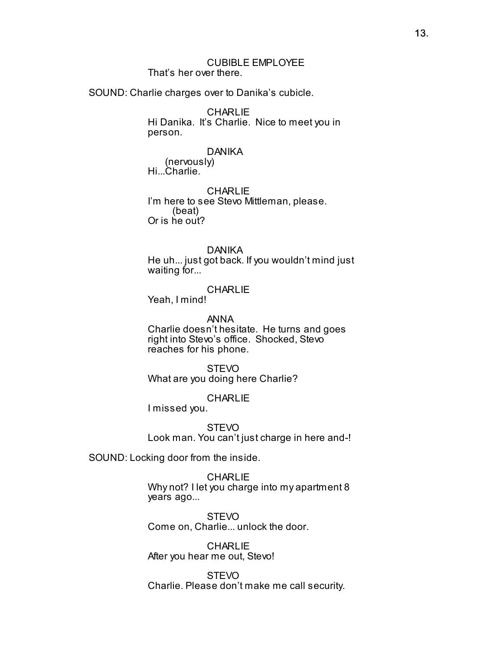### CUBIBLE EMPLOYEE That's her over there.

SOUND: Charlie charges over to Danika's cubicle.

**CHARLIE** Hi Danika. It's Charlie. Nice to meet you in person.

### DANIKA

 (nervously) Hi...Charlie.

**CHARLIE** I'm here to see Stevo Mittleman, please. (beat) Or is he out?

### DANIKA

He uh... just got back. If you wouldn't mind just waiting for...

### **CHARLIE**

Yeah, I mind!

#### ANNA

Charlie doesn't hesitate. He turns and goes right into Stevo's office. Shocked, Stevo reaches for his phone.

**STEVO** What are you doing here Charlie?

**CHARLIE** 

I missed you.

**STEVO** Look man. You can't just charge in here and-!

SOUND: Locking door from the inside.

**CHARLIE** Why not? I let you charge into my apartment 8 years ago...

**STEVO** Come on, Charlie... unlock the door.

**CHARLIE** After you hear me out, Stevo!

**STEVO** Charlie. Please don't make me call security.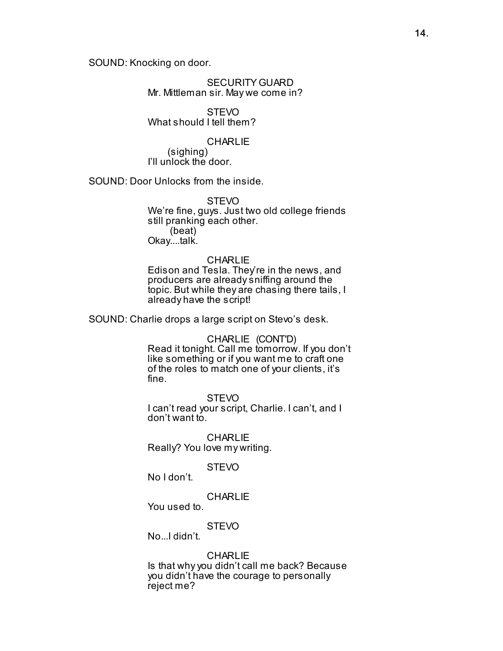SOUND: Knocking on door.

SECURITY GUARD Mr. Mittleman sir. May we come in?

STEVO What should I tell them?

### **CHARLIE**

 (sighing) I'll unlock the door.

SOUND: Door Unlocks from the inside.

**STEVO** 

We're fine, guys. Just two old college friends still pranking each other. (beat) Okay....talk.

### **CHARLIE**

Edison and Tesla. They're in the news, and producers are already sniffing around the topic. But while they are chasing there tails, I already have the script!

SOUND: Charlie drops a large script on Stevo's desk.

CHARLIE (CONT'D) Read it tonight. Call me tomorrow. If you don't like something or if you want me to craft one of the roles to match one of your clients, it's fine.

**STEVO** I can't read your script, Charlie. I can't, and I don't want to.

**CHARLIE** Really? You love my writing.

### **STEVO**

No I don't.

### **CHARLIE**

You used to.

### **STEVO**

No. I didn't

### CHARL IF

Is that why you didn't call me back? Because you didn't have the courage to personally reject me?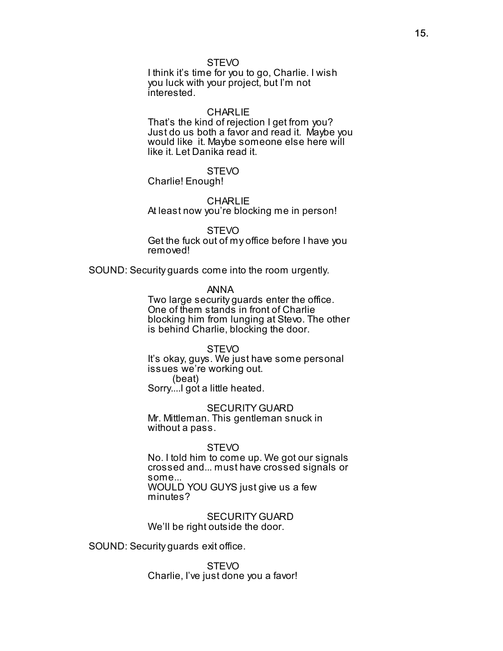### **STEVO**

I think it's time for you to go, Charlie. I wish you luck with your project, but I'm not interested.

#### **CHARLIE**

That's the kind of rejection I get from you? Just do us both a favor and read it. Maybe you would like it. Maybe someone else here will like it. Let Danika read it.

### **STEVO**

Charlie! Enough!

#### **CHARLIE**

At least now you're blocking me in person!

#### **STEVO**

Get the fuck out of my office before I have you removed!

SOUND: Security guards come into the room urgently.

### ANNA

Two large security guards enter the office. One of them stands in front of Charlie blocking him from lunging at Stevo. The other is behind Charlie, blocking the door.

#### **STEVO**

It's okay, guys. We just have some personal issues we're working out.

 (beat) Sorry....I got a little heated.

#### SECURITY GUARD

Mr. Mittleman. This gentleman snuck in without a pass.

#### STEVO

No. I told him to come up. We got our signals crossed and... must have crossed signals or some... WOULD YOU GUYS just give us a few

minutes?

SECURITY GUARD We'll be right outside the door.

SOUND: Security guards exit office.

STEVO Charlie, I've just done you a favor!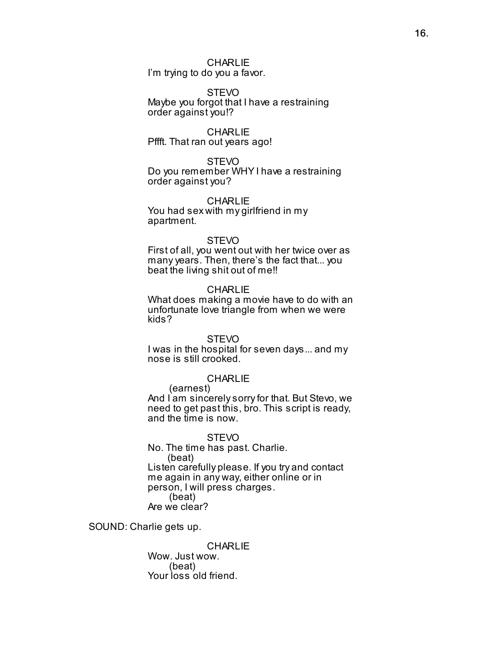### **CHARLIE**

I'm trying to do you a favor.

#### STEVO

Maybe you forgot that I have a restraining order against you!?

#### **CHARLIE**

Pffft. That ran out years ago!

#### STEVO

Do you remember WHY I have a restraining order against you?

#### CHARLIE

You had sex with my girlfriend in my apartment.

#### **STEVO**

First of all, you went out with her twice over as many years. Then, there's the fact that... you beat the living shit out of me!!

#### **CHARLIE**

What does making a movie have to do with an unfortunate love triangle from when we were kids?

### **STEVO**

I was in the hospital for seven days... and my nose is still crooked.

#### **CHARLIE**

(earnest)

And I am sincerely sorry for that. But Stevo, we need to get past this, bro. This script is ready, and the time is now.

STEVO No. The time has past. Charlie. (beat) Listen carefully please. If you try and contact me again in any way, either online or in person, I will press charges. (beat) Are we clear?

SOUND: Charlie gets up.

**CHARLIE** Wow. Just wow. (beat) Your loss old friend.